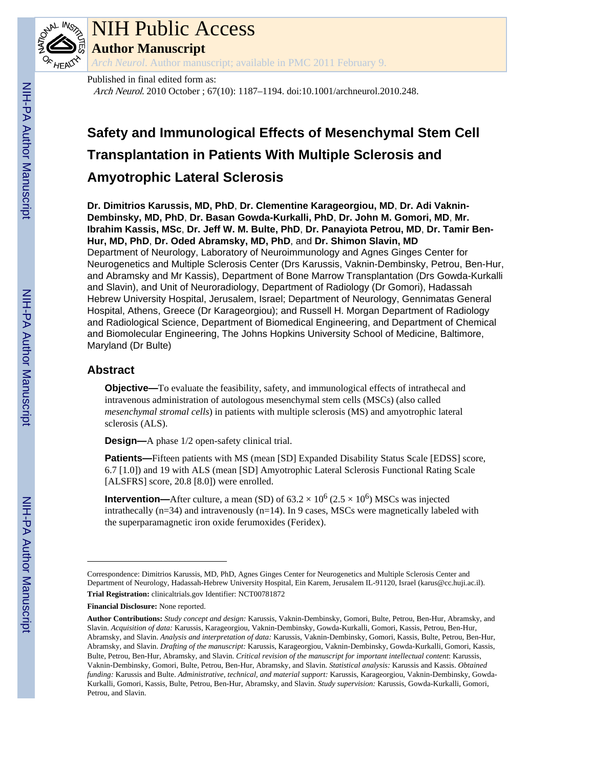

# NIH Public Access

**Author Manuscript**

*Arch Neurol*. Author manuscript; available in PMC 2011 February 9.

# Published in final edited form as: Arch Neurol. 2010 October ; 67(10): 1187–1194. doi:10.1001/archneurol.2010.248.

# **Safety and Immunological Effects of Mesenchymal Stem Cell Transplantation in Patients With Multiple Sclerosis and Amyotrophic Lateral Sclerosis**

**Dr. Dimitrios Karussis, MD, PhD**, **Dr. Clementine Karageorgiou, MD**, **Dr. Adi Vaknin-Dembinsky, MD, PhD**, **Dr. Basan Gowda-Kurkalli, PhD**, **Dr. John M. Gomori, MD**, **Mr. Ibrahim Kassis, MSc**, **Dr. Jeff W. M. Bulte, PhD**, **Dr. Panayiota Petrou, MD**, **Dr. Tamir Ben-Hur, MD, PhD**, **Dr. Oded Abramsky, MD, PhD**, and **Dr. Shimon Slavin, MD** Department of Neurology, Laboratory of Neuroimmunology and Agnes Ginges Center for Neurogenetics and Multiple Sclerosis Center (Drs Karussis, Vaknin-Dembinsky, Petrou, Ben-Hur, and Abramsky and Mr Kassis), Department of Bone Marrow Transplantation (Drs Gowda-Kurkalli and Slavin), and Unit of Neuroradiology, Department of Radiology (Dr Gomori), Hadassah Hebrew University Hospital, Jerusalem, Israel; Department of Neurology, Gennimatas General Hospital, Athens, Greece (Dr Karageorgiou); and Russell H. Morgan Department of Radiology and Radiological Science, Department of Biomedical Engineering, and Department of Chemical and Biomolecular Engineering, The Johns Hopkins University School of Medicine, Baltimore, Maryland (Dr Bulte)

# **Abstract**

**Objective—**To evaluate the feasibility, safety, and immunological effects of intrathecal and intravenous administration of autologous mesenchymal stem cells (MSCs) (also called *mesenchymal stromal cells*) in patients with multiple sclerosis (MS) and amyotrophic lateral sclerosis (ALS).

**Design—**A phase 1/2 open-safety clinical trial.

**Patients—**Fifteen patients with MS (mean [SD] Expanded Disability Status Scale [EDSS] score, 6.7 [1.0]) and 19 with ALS (mean [SD] Amyotrophic Lateral Sclerosis Functional Rating Scale [ALSFRS] score, 20.8 [8.0]) were enrolled.

**Intervention—**After culture, a mean (SD) of  $63.2 \times 10^6$  ( $2.5 \times 10^6$ ) MSCs was injected intrathecally (n=34) and intravenously (n=14). In 9 cases, MSCs were magnetically labeled with the superparamagnetic iron oxide ferumoxides (Feridex).

**Financial Disclosure:** None reported.

Correspondence: Dimitrios Karussis, MD, PhD, Agnes Ginges Center for Neurogenetics and Multiple Sclerosis Center and Department of Neurology, Hadassah-Hebrew University Hospital, Ein Karem, Jerusalem IL-91120, Israel (karus@cc.huji.ac.il). **Trial Registration:** clinicaltrials.gov Identifier: NCT00781872

**Author Contributions:** *Study concept and design:* Karussis, Vaknin-Dembinsky, Gomori, Bulte, Petrou, Ben-Hur, Abramsky, and Slavin. *Acquisition of data:* Karussis, Karageorgiou, Vaknin-Dembinsky, Gowda-Kurkalli, Gomori, Kassis, Petrou, Ben-Hur, Abramsky, and Slavin. *Analysis and interpretation of data:* Karussis, Vaknin-Dembinsky, Gomori, Kassis, Bulte, Petrou, Ben-Hur, Abramsky, and Slavin. *Drafting of the manuscript:* Karussis, Karageorgiou, Vaknin-Dembinsky, Gowda-Kurkalli, Gomori, Kassis, Bulte, Petrou, Ben-Hur, Abramsky, and Slavin. *Critical revision of the manuscript for important intellectual content*: Karussis, Vaknin-Dembinsky, Gomori, Bulte, Petrou, Ben-Hur, Abramsky, and Slavin. *Statistical analysis:* Karussis and Kassis. *Obtained funding:* Karussis and Bulte. *Administrative, technical, and material support:* Karussis, Karageorgiou, Vaknin-Dembinsky, Gowda-Kurkalli, Gomori, Kassis, Bulte, Petrou, Ben-Hur, Abramsky, and Slavin. *Study supervision:* Karussis, Gowda-Kurkalli, Gomori, Petrou, and Slavin.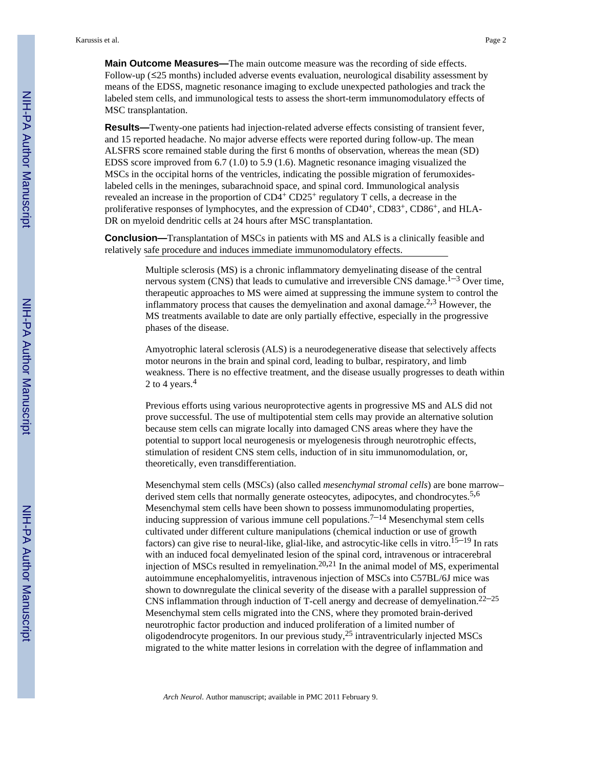**Main Outcome Measures—**The main outcome measure was the recording of side effects. Follow-up (≤25 months) included adverse events evaluation, neurological disability assessment by means of the EDSS, magnetic resonance imaging to exclude unexpected pathologies and track the labeled stem cells, and immunological tests to assess the short-term immunomodulatory effects of MSC transplantation.

**Results—**Twenty-one patients had injection-related adverse effects consisting of transient fever, and 15 reported headache. No major adverse effects were reported during follow-up. The mean ALSFRS score remained stable during the first 6 months of observation, whereas the mean (SD) EDSS score improved from 6.7 (1.0) to 5.9 (1.6). Magnetic resonance imaging visualized the MSCs in the occipital horns of the ventricles, indicating the possible migration of ferumoxideslabeled cells in the meninges, subarachnoid space, and spinal cord. Immunological analysis revealed an increase in the proportion of CD4<sup>+</sup> CD25<sup>+</sup> regulatory T cells, a decrease in the proliferative responses of lymphocytes, and the expression of  $CD40^+$ ,  $CD83^+$ ,  $CD86^+$ , and HLA-DR on myeloid dendritic cells at 24 hours after MSC transplantation.

**Conclusion—**Transplantation of MSCs in patients with MS and ALS is a clinically feasible and relatively safe procedure and induces immediate immunomodulatory effects.

> Multiple sclerosis (MS) is a chronic inflammatory demyelinating disease of the central nervous system (CNS) that leads to cumulative and irreversible CNS damage.<sup>1-3</sup> Over time, therapeutic approaches to MS were aimed at suppressing the immune system to control the inflammatory process that causes the demyelination and axonal damage.<sup>2,3</sup> However, the MS treatments available to date are only partially effective, especially in the progressive phases of the disease.

> Amyotrophic lateral sclerosis (ALS) is a neurodegenerative disease that selectively affects motor neurons in the brain and spinal cord, leading to bulbar, respiratory, and limb weakness. There is no effective treatment, and the disease usually progresses to death within 2 to 4 years.<sup>4</sup>

Previous efforts using various neuroprotective agents in progressive MS and ALS did not prove successful. The use of multipotential stem cells may provide an alternative solution because stem cells can migrate locally into damaged CNS areas where they have the potential to support local neurogenesis or myelogenesis through neurotrophic effects, stimulation of resident CNS stem cells, induction of in situ immunomodulation, or, theoretically, even transdifferentiation.

Mesenchymal stem cells (MSCs) (also called *mesenchymal stromal cells*) are bone marrow– derived stem cells that normally generate osteocytes, adipocytes, and chondrocytes.<sup>5,6</sup> Mesenchymal stem cells have been shown to possess immunomodulating properties, inducing suppression of various immune cell populations.<sup> $7-14$ </sup> Mesenchymal stem cells cultivated under different culture manipulations (chemical induction or use of growth factors) can give rise to neural-like, glial-like, and astrocytic-like cells in vitro.<sup>15–19</sup> In rats with an induced focal demyelinated lesion of the spinal cord, intravenous or intracerebral injection of MSCs resulted in remyelination.<sup>20,21</sup> In the animal model of MS, experimental autoimmune encephalomyelitis, intravenous injection of MSCs into C57BL/6J mice was shown to downregulate the clinical severity of the disease with a parallel suppression of CNS inflammation through induction of T-cell anergy and decrease of demyelination.22–<sup>25</sup> Mesenchymal stem cells migrated into the CNS, where they promoted brain-derived neurotrophic factor production and induced proliferation of a limited number of oligodendrocyte progenitors. In our previous study,25 intraventricularly injected MSCs migrated to the white matter lesions in correlation with the degree of inflammation and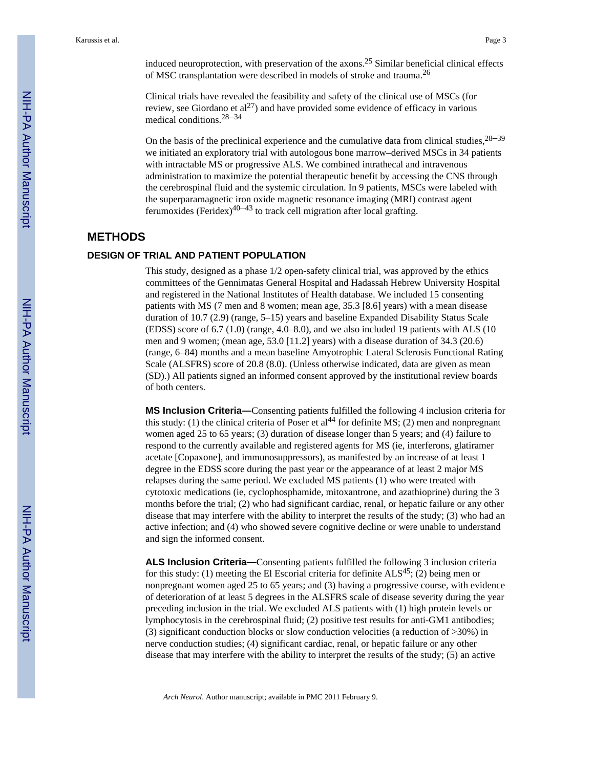induced neuroprotection, with preservation of the axons.<sup>25</sup> Similar beneficial clinical effects of MSC transplantation were described in models of stroke and trauma.<sup>26</sup>

Clinical trials have revealed the feasibility and safety of the clinical use of MSCs (for review, see Giordano et  $al^{27}$ ) and have provided some evidence of efficacy in various medical conditions.28–<sup>34</sup>

On the basis of the preclinical experience and the cumulative data from clinical studies,  $28-39$ we initiated an exploratory trial with autologous bone marrow–derived MSCs in 34 patients with intractable MS or progressive ALS. We combined intrathecal and intravenous administration to maximize the potential therapeutic benefit by accessing the CNS through the cerebrospinal fluid and the systemic circulation. In 9 patients, MSCs were labeled with the superparamagnetic iron oxide magnetic resonance imaging (MRI) contrast agent ferumoxides (Feridex)<sup>40–43</sup> to track cell migration after local grafting.

# **METHODS**

# **DESIGN OF TRIAL AND PATIENT POPULATION**

This study, designed as a phase 1/2 open-safety clinical trial, was approved by the ethics committees of the Gennimatas General Hospital and Hadassah Hebrew University Hospital and registered in the National Institutes of Health database. We included 15 consenting patients with MS (7 men and 8 women; mean age, 35.3 [8.6] years) with a mean disease duration of 10.7 (2.9) (range, 5–15) years and baseline Expanded Disability Status Scale (EDSS) score of 6.7 (1.0) (range, 4.0–8.0), and we also included 19 patients with ALS (10 men and 9 women; (mean age, 53.0 [11.2] years) with a disease duration of 34.3 (20.6) (range, 6–84) months and a mean baseline Amyotrophic Lateral Sclerosis Functional Rating Scale (ALSFRS) score of 20.8 (8.0). (Unless otherwise indicated, data are given as mean (SD).) All patients signed an informed consent approved by the institutional review boards of both centers.

**MS Inclusion Criteria—**Consenting patients fulfilled the following 4 inclusion criteria for this study: (1) the clinical criteria of Poser et al<sup>44</sup> for definite MS; (2) men and nonpregnant women aged 25 to 65 years; (3) duration of disease longer than 5 years; and (4) failure to respond to the currently available and registered agents for MS (ie, interferons, glatiramer acetate [Copaxone], and immunosuppressors), as manifested by an increase of at least 1 degree in the EDSS score during the past year or the appearance of at least 2 major MS relapses during the same period. We excluded MS patients (1) who were treated with cytotoxic medications (ie, cyclophosphamide, mitoxantrone, and azathioprine) during the 3 months before the trial; (2) who had significant cardiac, renal, or hepatic failure or any other disease that may interfere with the ability to interpret the results of the study; (3) who had an active infection; and (4) who showed severe cognitive decline or were unable to understand and sign the informed consent.

**ALS Inclusion Criteria—**Consenting patients fulfilled the following 3 inclusion criteria for this study: (1) meeting the El Escorial criteria for definite  $ALS^{45}$ ; (2) being men or nonpregnant women aged 25 to 65 years; and (3) having a progressive course, with evidence of deterioration of at least 5 degrees in the ALSFRS scale of disease severity during the year preceding inclusion in the trial. We excluded ALS patients with (1) high protein levels or lymphocytosis in the cerebrospinal fluid; (2) positive test results for anti-GM1 antibodies; (3) significant conduction blocks or slow conduction velocities (a reduction of >30%) in nerve conduction studies; (4) significant cardiac, renal, or hepatic failure or any other disease that may interfere with the ability to interpret the results of the study; (5) an active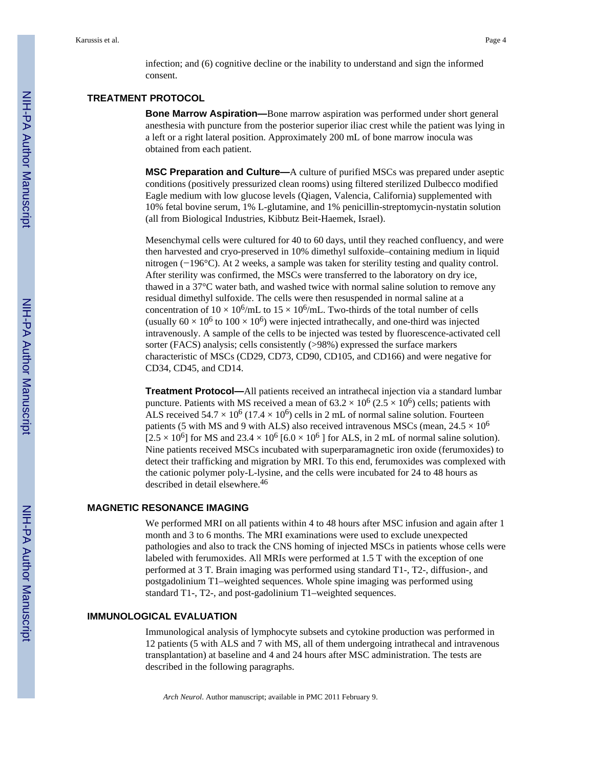infection; and (6) cognitive decline or the inability to understand and sign the informed consent.

# **TREATMENT PROTOCOL**

**Bone Marrow Aspiration—**Bone marrow aspiration was performed under short general anesthesia with puncture from the posterior superior iliac crest while the patient was lying in a left or a right lateral position. Approximately 200 mL of bone marrow inocula was obtained from each patient.

**MSC Preparation and Culture—**A culture of purified MSCs was prepared under aseptic conditions (positively pressurized clean rooms) using filtered sterilized Dulbecco modified Eagle medium with low glucose levels (Qiagen, Valencia, California) supplemented with 10% fetal bovine serum, 1% L-glutamine, and 1% penicillin-streptomycin-nystatin solution (all from Biological Industries, Kibbutz Beit-Haemek, Israel).

Mesenchymal cells were cultured for 40 to 60 days, until they reached confluency, and were then harvested and cryo-preserved in 10% dimethyl sulfoxide–containing medium in liquid nitrogen (−196°C). At 2 weeks, a sample was taken for sterility testing and quality control. After sterility was confirmed, the MSCs were transferred to the laboratory on dry ice, thawed in a 37°C water bath, and washed twice with normal saline solution to remove any residual dimethyl sulfoxide. The cells were then resuspended in normal saline at a concentration of  $10 \times 10^6$ /mL to  $15 \times 10^6$ /mL. Two-thirds of the total number of cells (usually  $60 \times 10^6$  to  $100 \times 10^6$ ) were injected intrathecally, and one-third was injected intravenously. A sample of the cells to be injected was tested by fluorescence-activated cell sorter (FACS) analysis; cells consistently (>98%) expressed the surface markers characteristic of MSCs (CD29, CD73, CD90, CD105, and CD166) and were negative for CD34, CD45, and CD14.

**Treatment Protocol—**All patients received an intrathecal injection via a standard lumbar puncture. Patients with MS received a mean of  $63.2 \times 10^6$  (2.5  $\times$  10<sup>6</sup>) cells; patients with ALS received  $54.7 \times 10^6$  (17.4  $\times$  10<sup>6</sup>) cells in 2 mL of normal saline solution. Fourteen patients (5 with MS and 9 with ALS) also received intravenous MSCs (mean,  $24.5 \times 10^6$  $[2.5 \times 10^6]$  for MS and  $23.4 \times 10^6$  [6.0  $\times 10^6$  ] for ALS, in 2 mL of normal saline solution). Nine patients received MSCs incubated with superparamagnetic iron oxide (ferumoxides) to detect their trafficking and migration by MRI. To this end, ferumoxides was complexed with the cationic polymer poly-L-lysine, and the cells were incubated for 24 to 48 hours as described in detail elsewhere.<sup>46</sup>

## **MAGNETIC RESONANCE IMAGING**

We performed MRI on all patients within 4 to 48 hours after MSC infusion and again after 1 month and 3 to 6 months. The MRI examinations were used to exclude unexpected pathologies and also to track the CNS homing of injected MSCs in patients whose cells were labeled with ferumoxides. All MRIs were performed at 1.5 T with the exception of one performed at 3 T. Brain imaging was performed using standard T1-, T2-, diffusion-, and postgadolinium T1–weighted sequences. Whole spine imaging was performed using standard T1-, T2-, and post-gadolinium T1–weighted sequences.

## **IMMUNOLOGICAL EVALUATION**

Immunological analysis of lymphocyte subsets and cytokine production was performed in 12 patients (5 with ALS and 7 with MS, all of them undergoing intrathecal and intravenous transplantation) at baseline and 4 and 24 hours after MSC administration. The tests are described in the following paragraphs.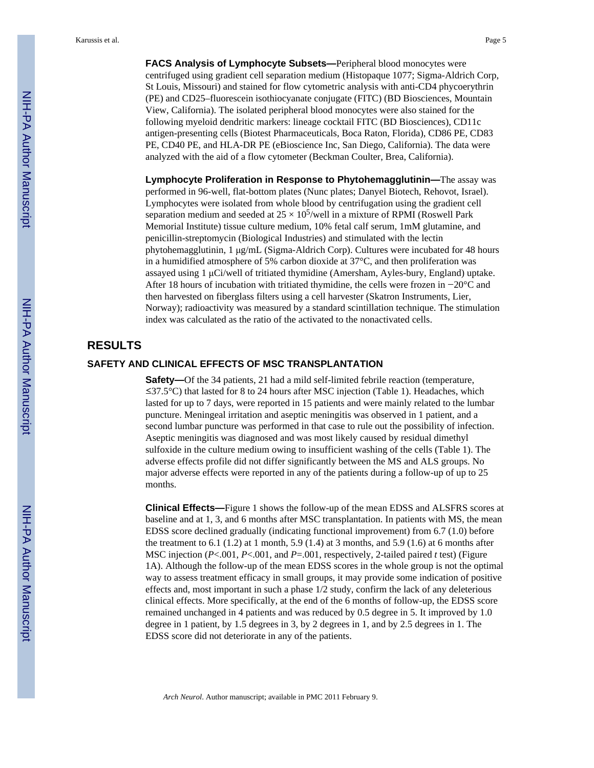Karussis et al. Page 5

**FACS Analysis of Lymphocyte Subsets—**Peripheral blood monocytes were centrifuged using gradient cell separation medium (Histopaque 1077; Sigma-Aldrich Corp, St Louis, Missouri) and stained for flow cytometric analysis with anti-CD4 phycoerythrin (PE) and CD25–fluorescein isothiocyanate conjugate (FITC) (BD Biosciences, Mountain View, California). The isolated peripheral blood monocytes were also stained for the following myeloid dendritic markers: lineage cocktail FITC (BD Biosciences), CD11c antigen-presenting cells (Biotest Pharmaceuticals, Boca Raton, Florida), CD86 PE, CD83 PE, CD40 PE, and HLA-DR PE (eBioscience Inc, San Diego, California). The data were analyzed with the aid of a flow cytometer (Beckman Coulter, Brea, California).

**Lymphocyte Proliferation in Response to Phytohemagglutinin—**The assay was performed in 96-well, flat-bottom plates (Nunc plates; Danyel Biotech, Rehovot, Israel). Lymphocytes were isolated from whole blood by centrifugation using the gradient cell separation medium and seeded at  $25 \times 10^5$ /well in a mixture of RPMI (Roswell Park Memorial Institute) tissue culture medium, 10% fetal calf serum, 1mM glutamine, and penicillin-streptomycin (Biological Industries) and stimulated with the lectin phytohemagglutinin, 1 μg/mL (Sigma-Aldrich Corp). Cultures were incubated for 48 hours in a humidified atmosphere of 5% carbon dioxide at 37°C, and then proliferation was assayed using 1 μCi/well of tritiated thymidine (Amersham, Ayles-bury, England) uptake. After 18 hours of incubation with tritiated thymidine, the cells were frozen in −20°C and then harvested on fiberglass filters using a cell harvester (Skatron Instruments, Lier, Norway); radioactivity was measured by a standard scintillation technique. The stimulation index was calculated as the ratio of the activated to the nonactivated cells.

# **RESULTS**

# **SAFETY AND CLINICAL EFFECTS OF MSC TRANSPLANTATION**

**Safety—Of** the 34 patients, 21 had a mild self-limited febrile reaction (temperature, ≤37.5°C) that lasted for 8 to 24 hours after MSC injection (Table 1). Headaches, which lasted for up to 7 days, were reported in 15 patients and were mainly related to the lumbar puncture. Meningeal irritation and aseptic meningitis was observed in 1 patient, and a second lumbar puncture was performed in that case to rule out the possibility of infection. Aseptic meningitis was diagnosed and was most likely caused by residual dimethyl sulfoxide in the culture medium owing to insufficient washing of the cells (Table 1). The adverse effects profile did not differ significantly between the MS and ALS groups. No major adverse effects were reported in any of the patients during a follow-up of up to 25 months.

**Clinical Effects—**Figure 1 shows the follow-up of the mean EDSS and ALSFRS scores at baseline and at 1, 3, and 6 months after MSC transplantation. In patients with MS, the mean EDSS score declined gradually (indicating functional improvement) from 6.7 (1.0) before the treatment to  $6.1$  (1.2) at 1 month,  $5.9$  (1.4) at 3 months, and  $5.9$  (1.6) at 6 months after MSC injection (*P*<.001, *P*<.001, and *P*=.001, respectively, 2-tailed paired *t* test) (Figure 1A). Although the follow-up of the mean EDSS scores in the whole group is not the optimal way to assess treatment efficacy in small groups, it may provide some indication of positive effects and, most important in such a phase 1/2 study, confirm the lack of any deleterious clinical effects. More specifically, at the end of the 6 months of follow-up, the EDSS score remained unchanged in 4 patients and was reduced by 0.5 degree in 5. It improved by 1.0 degree in 1 patient, by 1.5 degrees in 3, by 2 degrees in 1, and by 2.5 degrees in 1. The EDSS score did not deteriorate in any of the patients.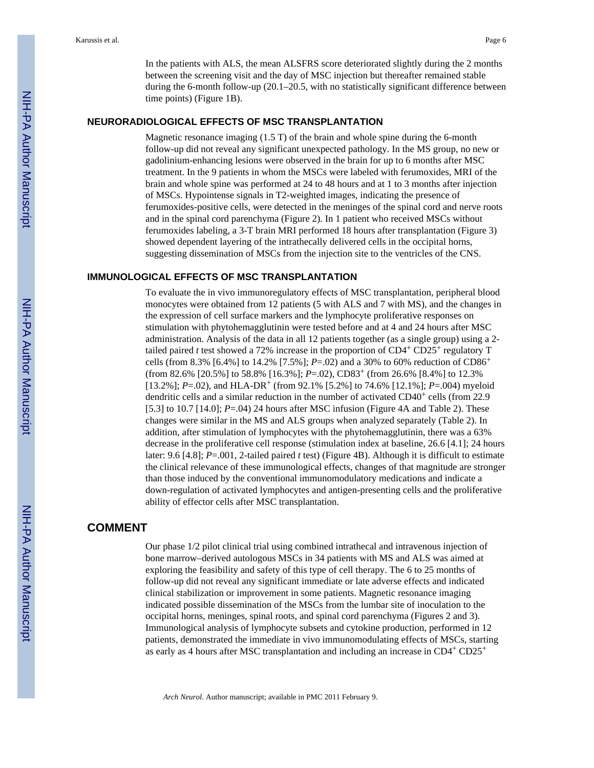In the patients with ALS, the mean ALSFRS score deteriorated slightly during the 2 months between the screening visit and the day of MSC injection but thereafter remained stable during the 6-month follow-up (20.1–20.5, with no statistically significant difference between time points) (Figure 1B).

## **NEURORADIOLOGICAL EFFECTS OF MSC TRANSPLANTATION**

Magnetic resonance imaging (1.5 T) of the brain and whole spine during the 6-month follow-up did not reveal any significant unexpected pathology. In the MS group, no new or gadolinium-enhancing lesions were observed in the brain for up to 6 months after MSC treatment. In the 9 patients in whom the MSCs were labeled with ferumoxides, MRI of the brain and whole spine was performed at 24 to 48 hours and at 1 to 3 months after injection of MSCs. Hypointense signals in T2-weighted images, indicating the presence of ferumoxides-positive cells, were detected in the meninges of the spinal cord and nerve roots and in the spinal cord parenchyma (Figure 2). In 1 patient who received MSCs without ferumoxides labeling, a 3-T brain MRI performed 18 hours after transplantation (Figure 3) showed dependent layering of the intrathecally delivered cells in the occipital horns, suggesting dissemination of MSCs from the injection site to the ventricles of the CNS.

#### **IMMUNOLOGICAL EFFECTS OF MSC TRANSPLANTATION**

To evaluate the in vivo immunoregulatory effects of MSC transplantation, peripheral blood monocytes were obtained from 12 patients (5 with ALS and 7 with MS), and the changes in the expression of cell surface markers and the lymphocyte proliferative responses on stimulation with phytohemagglutinin were tested before and at 4 and 24 hours after MSC administration. Analysis of the data in all 12 patients together (as a single group) using a 2 tailed paired *t* test showed a 72% increase in the proportion of  $CD4^+$  CD25<sup>+</sup> regulatory T cells (from 8.3% [6.4%] to 14.2% [7.5%]; *P*=.02) and a 30% to 60% reduction of CD86<sup>+</sup> (from 82.6% [20.5%] to 58.8% [16.3%]; *P*=.02), CD83+ (from 26.6% [8.4%] to 12.3%  $[13.2\%]$ ; *P*=.02), and HLA-DR<sup>+</sup> (from 92.1% [5.2%] to 74.6% [12.1%]; *P*=.004) myeloid dendritic cells and a similar reduction in the number of activated CD40+ cells (from 22.9 [5.3] to 10.7  $[14.0]$ ;  $P=.04$  24 hours after MSC infusion (Figure 4A and Table 2). These changes were similar in the MS and ALS groups when analyzed separately (Table 2). In addition, after stimulation of lymphocytes with the phytohemagglutinin, there was a 63% decrease in the proliferative cell response (stimulation index at baseline, 26.6 [4.1]; 24 hours later: 9.6 [4.8]; *P*=.001, 2-tailed paired *t* test) (Figure 4B). Although it is difficult to estimate the clinical relevance of these immunological effects, changes of that magnitude are stronger than those induced by the conventional immunomodulatory medications and indicate a down-regulation of activated lymphocytes and antigen-presenting cells and the proliferative ability of effector cells after MSC transplantation.

# **COMMENT**

Our phase 1/2 pilot clinical trial using combined intrathecal and intravenous injection of bone marrow–derived autologous MSCs in 34 patients with MS and ALS was aimed at exploring the feasibility and safety of this type of cell therapy. The 6 to 25 months of follow-up did not reveal any significant immediate or late adverse effects and indicated clinical stabilization or improvement in some patients. Magnetic resonance imaging indicated possible dissemination of the MSCs from the lumbar site of inoculation to the occipital horns, meninges, spinal roots, and spinal cord parenchyma (Figures 2 and 3). Immunological analysis of lymphocyte subsets and cytokine production, performed in 12 patients, demonstrated the immediate in vivo immunomodulating effects of MSCs, starting as early as 4 hours after MSC transplantation and including an increase in CD4+ CD25<sup>+</sup>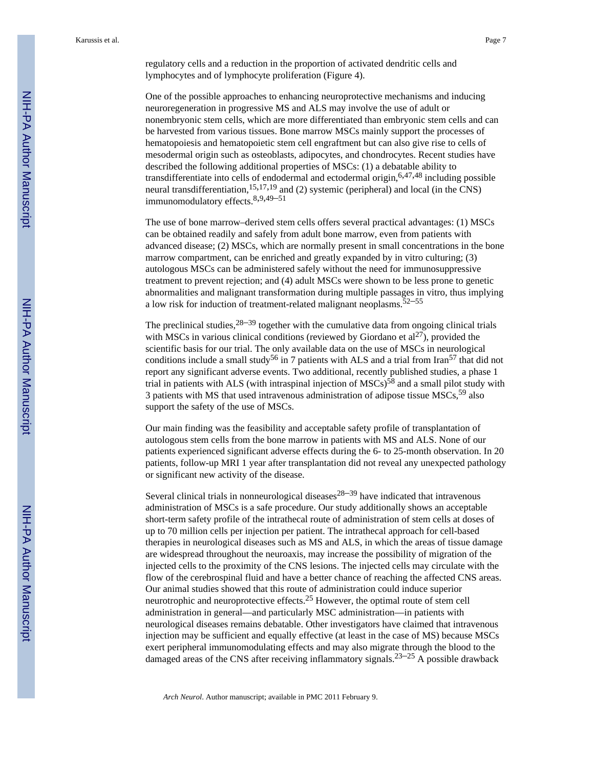regulatory cells and a reduction in the proportion of activated dendritic cells and lymphocytes and of lymphocyte proliferation (Figure 4).

One of the possible approaches to enhancing neuroprotective mechanisms and inducing neuroregeneration in progressive MS and ALS may involve the use of adult or nonembryonic stem cells, which are more differentiated than embryonic stem cells and can be harvested from various tissues. Bone marrow MSCs mainly support the processes of hematopoiesis and hematopoietic stem cell engraftment but can also give rise to cells of mesodermal origin such as osteoblasts, adipocytes, and chondrocytes. Recent studies have described the following additional properties of MSCs: (1) a debatable ability to transdifferentiate into cells of endodermal and ectodermal origin,  $6,47,48$  including possible neural transdifferentiation,  $15,17,19$  and (2) systemic (peripheral) and local (in the CNS) immunomodulatory effects.8,9,49–<sup>51</sup>

The use of bone marrow–derived stem cells offers several practical advantages: (1) MSCs can be obtained readily and safely from adult bone marrow, even from patients with advanced disease; (2) MSCs, which are normally present in small concentrations in the bone marrow compartment, can be enriched and greatly expanded by in vitro culturing; (3) autologous MSCs can be administered safely without the need for immunosuppressive treatment to prevent rejection; and (4) adult MSCs were shown to be less prone to genetic abnormalities and malignant transformation during multiple passages in vitro, thus implying a low risk for induction of treatment-related malignant neoplasms.  $52-55$ 

The preclinical studies,  $28-39$  together with the cumulative data from ongoing clinical trials with MSCs in various clinical conditions (reviewed by Giordano et  $al^{27}$ ), provided the scientific basis for our trial. The only available data on the use of MSCs in neurological conditions include a small study<sup>56</sup> in 7 patients with ALS and a trial from Iran<sup>57</sup> that did not report any significant adverse events. Two additional, recently published studies, a phase 1 trial in patients with ALS (with intraspinal injection of  $MSCs$ )<sup>58</sup> and a small pilot study with 3 patients with MS that used intravenous administration of adipose tissue MSCs,<sup>59</sup> also support the safety of the use of MSCs.

Our main finding was the feasibility and acceptable safety profile of transplantation of autologous stem cells from the bone marrow in patients with MS and ALS. None of our patients experienced significant adverse effects during the 6- to 25-month observation. In 20 patients, follow-up MRI 1 year after transplantation did not reveal any unexpected pathology or significant new activity of the disease.

Several clinical trials in nonneurological diseases<sup>28–39</sup> have indicated that intravenous administration of MSCs is a safe procedure. Our study additionally shows an acceptable short-term safety profile of the intrathecal route of administration of stem cells at doses of up to 70 million cells per injection per patient. The intrathecal approach for cell-based therapies in neurological diseases such as MS and ALS, in which the areas of tissue damage are widespread throughout the neuroaxis, may increase the possibility of migration of the injected cells to the proximity of the CNS lesions. The injected cells may circulate with the flow of the cerebrospinal fluid and have a better chance of reaching the affected CNS areas. Our animal studies showed that this route of administration could induce superior neurotrophic and neuroprotective effects.25 However, the optimal route of stem cell administration in general—and particularly MSC administration—in patients with neurological diseases remains debatable. Other investigators have claimed that intravenous injection may be sufficient and equally effective (at least in the case of MS) because MSCs exert peripheral immunomodulating effects and may also migrate through the blood to the damaged areas of the CNS after receiving inflammatory signals.<sup>23–25</sup> A possible drawback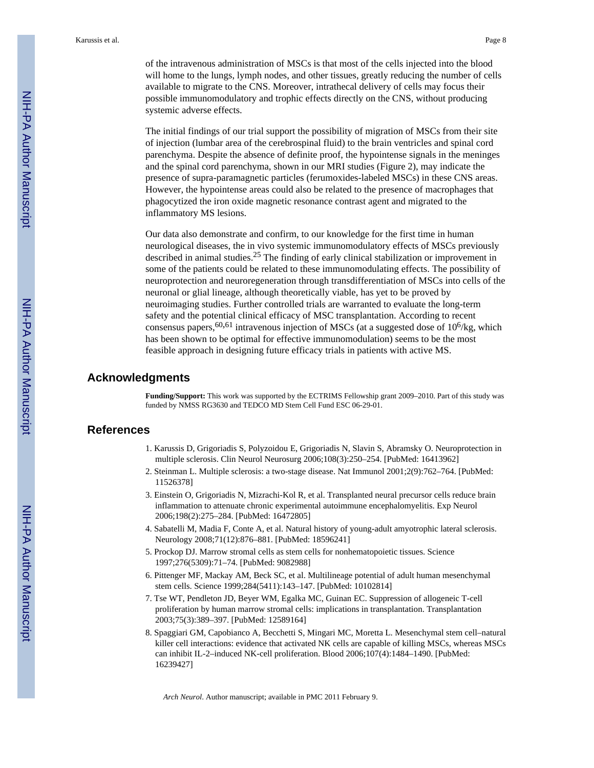of the intravenous administration of MSCs is that most of the cells injected into the blood will home to the lungs, lymph nodes, and other tissues, greatly reducing the number of cells available to migrate to the CNS. Moreover, intrathecal delivery of cells may focus their possible immunomodulatory and trophic effects directly on the CNS, without producing systemic adverse effects.

The initial findings of our trial support the possibility of migration of MSCs from their site of injection (lumbar area of the cerebrospinal fluid) to the brain ventricles and spinal cord parenchyma. Despite the absence of definite proof, the hypointense signals in the meninges and the spinal cord parenchyma, shown in our MRI studies (Figure 2), may indicate the presence of supra-paramagnetic particles (ferumoxides-labeled MSCs) in these CNS areas. However, the hypointense areas could also be related to the presence of macrophages that phagocytized the iron oxide magnetic resonance contrast agent and migrated to the inflammatory MS lesions.

Our data also demonstrate and confirm, to our knowledge for the first time in human neurological diseases, the in vivo systemic immunomodulatory effects of MSCs previously described in animal studies.25 The finding of early clinical stabilization or improvement in some of the patients could be related to these immunomodulating effects. The possibility of neuroprotection and neuroregeneration through transdifferentiation of MSCs into cells of the neuronal or glial lineage, although theoretically viable, has yet to be proved by neuroimaging studies. Further controlled trials are warranted to evaluate the long-term safety and the potential clinical efficacy of MSC transplantation. According to recent consensus papers,  $60,61$  intravenous injection of MSCs (at a suggested dose of 10<sup>6</sup>/kg, which has been shown to be optimal for effective immunomodulation) seems to be the most feasible approach in designing future efficacy trials in patients with active MS.

# **Acknowledgments**

**Funding/Support:** This work was supported by the ECTRIMS Fellowship grant 2009–2010. Part of this study was funded by NMSS RG3630 and TEDCO MD Stem Cell Fund ESC 06-29-01.

# **References**

- 1. Karussis D, Grigoriadis S, Polyzoidou E, Grigoriadis N, Slavin S, Abramsky O. Neuroprotection in multiple sclerosis. Clin Neurol Neurosurg 2006;108(3):250–254. [PubMed: 16413962]
- 2. Steinman L. Multiple sclerosis: a two-stage disease. Nat Immunol 2001;2(9):762–764. [PubMed: 11526378]
- 3. Einstein O, Grigoriadis N, Mizrachi-Kol R, et al. Transplanted neural precursor cells reduce brain inflammation to attenuate chronic experimental autoimmune encephalomyelitis. Exp Neurol 2006;198(2):275–284. [PubMed: 16472805]
- 4. Sabatelli M, Madia F, Conte A, et al. Natural history of young-adult amyotrophic lateral sclerosis. Neurology 2008;71(12):876–881. [PubMed: 18596241]
- 5. Prockop DJ. Marrow stromal cells as stem cells for nonhematopoietic tissues. Science 1997;276(5309):71–74. [PubMed: 9082988]
- 6. Pittenger MF, Mackay AM, Beck SC, et al. Multilineage potential of adult human mesenchymal stem cells. Science 1999;284(5411):143–147. [PubMed: 10102814]
- 7. Tse WT, Pendleton JD, Beyer WM, Egalka MC, Guinan EC. Suppression of allogeneic T-cell proliferation by human marrow stromal cells: implications in transplantation. Transplantation 2003;75(3):389–397. [PubMed: 12589164]
- 8. Spaggiari GM, Capobianco A, Becchetti S, Mingari MC, Moretta L. Mesenchymal stem cell–natural killer cell interactions: evidence that activated NK cells are capable of killing MSCs, whereas MSCs can inhibit IL-2–induced NK-cell proliferation. Blood 2006;107(4):1484–1490. [PubMed: 16239427]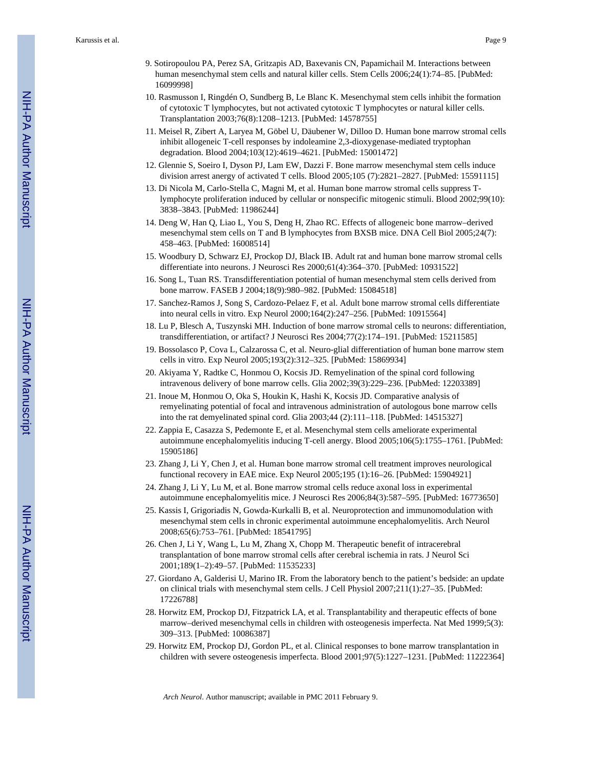- 9. Sotiropoulou PA, Perez SA, Gritzapis AD, Baxevanis CN, Papamichail M. Interactions between human mesenchymal stem cells and natural killer cells. Stem Cells 2006;24(1):74–85. [PubMed: 16099998]
- 10. Rasmusson I, Ringdén O, Sundberg B, Le Blanc K. Mesenchymal stem cells inhibit the formation of cytotoxic T lymphocytes, but not activated cytotoxic T lymphocytes or natural killer cells. Transplantation 2003;76(8):1208–1213. [PubMed: 14578755]
- 11. Meisel R, Zibert A, Laryea M, Göbel U, Däubener W, Dilloo D. Human bone marrow stromal cells inhibit allogeneic T-cell responses by indoleamine 2,3-dioxygenase-mediated tryptophan degradation. Blood 2004;103(12):4619–4621. [PubMed: 15001472]
- 12. Glennie S, Soeiro I, Dyson PJ, Lam EW, Dazzi F. Bone marrow mesenchymal stem cells induce division arrest anergy of activated T cells. Blood 2005;105 (7):2821–2827. [PubMed: 15591115]
- 13. Di Nicola M, Carlo-Stella C, Magni M, et al. Human bone marrow stromal cells suppress Tlymphocyte proliferation induced by cellular or nonspecific mitogenic stimuli. Blood 2002;99(10): 3838–3843. [PubMed: 11986244]
- 14. Deng W, Han Q, Liao L, You S, Deng H, Zhao RC. Effects of allogeneic bone marrow–derived mesenchymal stem cells on T and B lymphocytes from BXSB mice. DNA Cell Biol 2005;24(7): 458–463. [PubMed: 16008514]
- 15. Woodbury D, Schwarz EJ, Prockop DJ, Black IB. Adult rat and human bone marrow stromal cells differentiate into neurons. J Neurosci Res 2000;61(4):364–370. [PubMed: 10931522]
- 16. Song L, Tuan RS. Transdifferentiation potential of human mesenchymal stem cells derived from bone marrow. FASEB J 2004;18(9):980–982. [PubMed: 15084518]
- 17. Sanchez-Ramos J, Song S, Cardozo-Pelaez F, et al. Adult bone marrow stromal cells differentiate into neural cells in vitro. Exp Neurol 2000;164(2):247–256. [PubMed: 10915564]
- 18. Lu P, Blesch A, Tuszynski MH. Induction of bone marrow stromal cells to neurons: differentiation, transdifferentiation, or artifact? J Neurosci Res 2004;77(2):174–191. [PubMed: 15211585]
- 19. Bossolasco P, Cova L, Calzarossa C, et al. Neuro-glial differentiation of human bone marrow stem cells in vitro. Exp Neurol 2005;193(2):312–325. [PubMed: 15869934]
- 20. Akiyama Y, Radtke C, Honmou O, Kocsis JD. Remyelination of the spinal cord following intravenous delivery of bone marrow cells. Glia 2002;39(3):229–236. [PubMed: 12203389]
- 21. Inoue M, Honmou O, Oka S, Houkin K, Hashi K, Kocsis JD. Comparative analysis of remyelinating potential of focal and intravenous administration of autologous bone marrow cells into the rat demyelinated spinal cord. Glia 2003;44 (2):111–118. [PubMed: 14515327]
- 22. Zappia E, Casazza S, Pedemonte E, et al. Mesenchymal stem cells ameliorate experimental autoimmune encephalomyelitis inducing T-cell anergy. Blood 2005;106(5):1755–1761. [PubMed: 15905186]
- 23. Zhang J, Li Y, Chen J, et al. Human bone marrow stromal cell treatment improves neurological functional recovery in EAE mice. Exp Neurol 2005;195 (1):16–26. [PubMed: 15904921]
- 24. Zhang J, Li Y, Lu M, et al. Bone marrow stromal cells reduce axonal loss in experimental autoimmune encephalomyelitis mice. J Neurosci Res 2006;84(3):587–595. [PubMed: 16773650]
- 25. Kassis I, Grigoriadis N, Gowda-Kurkalli B, et al. Neuroprotection and immunomodulation with mesenchymal stem cells in chronic experimental autoimmune encephalomyelitis. Arch Neurol 2008;65(6):753–761. [PubMed: 18541795]
- 26. Chen J, Li Y, Wang L, Lu M, Zhang X, Chopp M. Therapeutic benefit of intracerebral transplantation of bone marrow stromal cells after cerebral ischemia in rats. J Neurol Sci 2001;189(1–2):49–57. [PubMed: 11535233]
- 27. Giordano A, Galderisi U, Marino IR. From the laboratory bench to the patient's bedside: an update on clinical trials with mesenchymal stem cells. J Cell Physiol 2007;211(1):27–35. [PubMed: 17226788]
- 28. Horwitz EM, Prockop DJ, Fitzpatrick LA, et al. Transplantability and therapeutic effects of bone marrow–derived mesenchymal cells in children with osteogenesis imperfecta. Nat Med 1999;5(3): 309–313. [PubMed: 10086387]
- 29. Horwitz EM, Prockop DJ, Gordon PL, et al. Clinical responses to bone marrow transplantation in children with severe osteogenesis imperfecta. Blood 2001;97(5):1227–1231. [PubMed: 11222364]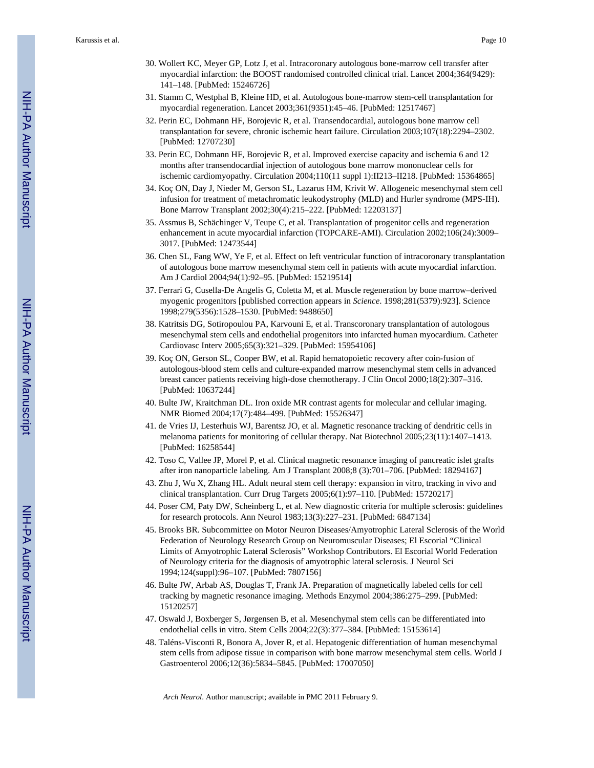- 30. Wollert KC, Meyer GP, Lotz J, et al. Intracoronary autologous bone-marrow cell transfer after myocardial infarction: the BOOST randomised controlled clinical trial. Lancet 2004;364(9429): 141–148. [PubMed: 15246726]
- 31. Stamm C, Westphal B, Kleine HD, et al. Autologous bone-marrow stem-cell transplantation for myocardial regeneration. Lancet 2003;361(9351):45–46. [PubMed: 12517467]
- 32. Perin EC, Dohmann HF, Borojevic R, et al. Transendocardial, autologous bone marrow cell transplantation for severe, chronic ischemic heart failure. Circulation 2003;107(18):2294–2302. [PubMed: 12707230]
- 33. Perin EC, Dohmann HF, Borojevic R, et al. Improved exercise capacity and ischemia 6 and 12 months after transendocardial injection of autologous bone marrow mononuclear cells for ischemic cardiomyopathy. Circulation 2004;110(11 suppl 1):II213–II218. [PubMed: 15364865]
- 34. Koç ON, Day J, Nieder M, Gerson SL, Lazarus HM, Krivit W. Allogeneic mesenchymal stem cell infusion for treatment of metachromatic leukodystrophy (MLD) and Hurler syndrome (MPS-IH). Bone Marrow Transplant 2002;30(4):215–222. [PubMed: 12203137]
- 35. Assmus B, Schächinger V, Teupe C, et al. Transplantation of progenitor cells and regeneration enhancement in acute myocardial infarction (TOPCARE-AMI). Circulation 2002;106(24):3009– 3017. [PubMed: 12473544]
- 36. Chen SL, Fang WW, Ye F, et al. Effect on left ventricular function of intracoronary transplantation of autologous bone marrow mesenchymal stem cell in patients with acute myocardial infarction. Am J Cardiol 2004;94(1):92–95. [PubMed: 15219514]
- 37. Ferrari G, Cusella-De Angelis G, Coletta M, et al. Muscle regeneration by bone marrow–derived myogenic progenitors [published correction appears in *Science*. 1998;281(5379):923]. Science 1998;279(5356):1528–1530. [PubMed: 9488650]
- 38. Katritsis DG, Sotiropoulou PA, Karvouni E, et al. Transcoronary transplantation of autologous mesenchymal stem cells and endothelial progenitors into infarcted human myocardium. Catheter Cardiovasc Interv 2005;65(3):321–329. [PubMed: 15954106]
- 39. Koç ON, Gerson SL, Cooper BW, et al. Rapid hematopoietic recovery after coin-fusion of autologous-blood stem cells and culture-expanded marrow mesenchymal stem cells in advanced breast cancer patients receiving high-dose chemotherapy. J Clin Oncol 2000;18(2):307–316. [PubMed: 10637244]
- 40. Bulte JW, Kraitchman DL. Iron oxide MR contrast agents for molecular and cellular imaging. NMR Biomed 2004;17(7):484–499. [PubMed: 15526347]
- 41. de Vries IJ, Lesterhuis WJ, Barentsz JO, et al. Magnetic resonance tracking of dendritic cells in melanoma patients for monitoring of cellular therapy. Nat Biotechnol 2005;23(11):1407–1413. [PubMed: 16258544]
- 42. Toso C, Vallee JP, Morel P, et al. Clinical magnetic resonance imaging of pancreatic islet grafts after iron nanoparticle labeling. Am J Transplant 2008;8 (3):701–706. [PubMed: 18294167]
- 43. Zhu J, Wu X, Zhang HL. Adult neural stem cell therapy: expansion in vitro, tracking in vivo and clinical transplantation. Curr Drug Targets 2005;6(1):97–110. [PubMed: 15720217]
- 44. Poser CM, Paty DW, Scheinberg L, et al. New diagnostic criteria for multiple sclerosis: guidelines for research protocols. Ann Neurol 1983;13(3):227–231. [PubMed: 6847134]
- 45. Brooks BR. Subcommittee on Motor Neuron Diseases/Amyotrophic Lateral Sclerosis of the World Federation of Neurology Research Group on Neuromuscular Diseases; El Escorial "Clinical Limits of Amyotrophic Lateral Sclerosis" Workshop Contributors. El Escorial World Federation of Neurology criteria for the diagnosis of amyotrophic lateral sclerosis. J Neurol Sci 1994;124(suppl):96–107. [PubMed: 7807156]
- 46. Bulte JW, Arbab AS, Douglas T, Frank JA. Preparation of magnetically labeled cells for cell tracking by magnetic resonance imaging. Methods Enzymol 2004;386:275–299. [PubMed: 15120257]
- 47. Oswald J, Boxberger S, Jørgensen B, et al. Mesenchymal stem cells can be differentiated into endothelial cells in vitro. Stem Cells 2004;22(3):377–384. [PubMed: 15153614]
- 48. Taléns-Visconti R, Bonora A, Jover R, et al. Hepatogenic differentiation of human mesenchymal stem cells from adipose tissue in comparison with bone marrow mesenchymal stem cells. World J Gastroenterol 2006;12(36):5834–5845. [PubMed: 17007050]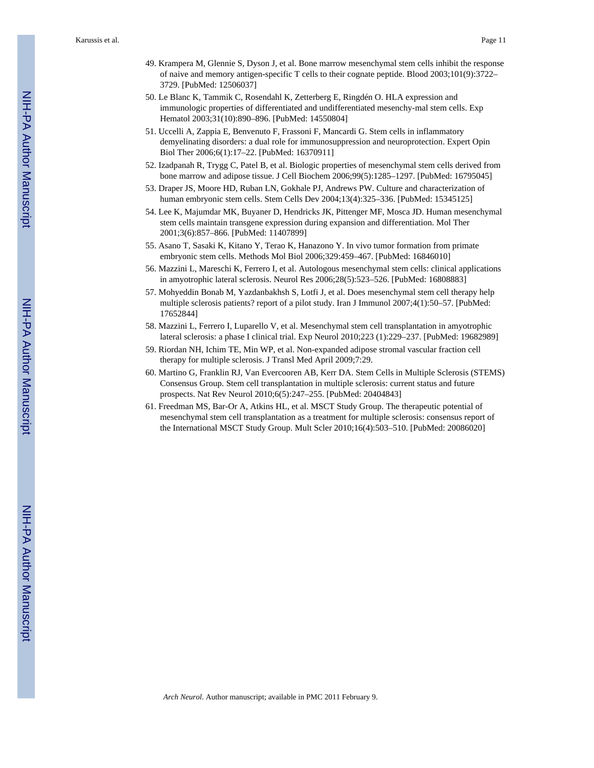- 49. Krampera M, Glennie S, Dyson J, et al. Bone marrow mesenchymal stem cells inhibit the response of naive and memory antigen-specific T cells to their cognate peptide. Blood 2003;101(9):3722– 3729. [PubMed: 12506037]
- 50. Le Blanc K, Tammik C, Rosendahl K, Zetterberg E, Ringdén O. HLA expression and immunologic properties of differentiated and undifferentiated mesenchy-mal stem cells. Exp Hematol 2003;31(10):890–896. [PubMed: 14550804]
- 51. Uccelli A, Zappia E, Benvenuto F, Frassoni F, Mancardi G. Stem cells in inflammatory demyelinating disorders: a dual role for immunosuppression and neuroprotection. Expert Opin Biol Ther 2006;6(1):17–22. [PubMed: 16370911]
- 52. Izadpanah R, Trygg C, Patel B, et al. Biologic properties of mesenchymal stem cells derived from bone marrow and adipose tissue. J Cell Biochem 2006;99(5):1285–1297. [PubMed: 16795045]
- 53. Draper JS, Moore HD, Ruban LN, Gokhale PJ, Andrews PW. Culture and characterization of human embryonic stem cells. Stem Cells Dev 2004;13(4):325–336. [PubMed: 15345125]
- 54. Lee K, Majumdar MK, Buyaner D, Hendricks JK, Pittenger MF, Mosca JD. Human mesenchymal stem cells maintain transgene expression during expansion and differentiation. Mol Ther 2001;3(6):857–866. [PubMed: 11407899]
- 55. Asano T, Sasaki K, Kitano Y, Terao K, Hanazono Y. In vivo tumor formation from primate embryonic stem cells. Methods Mol Biol 2006;329:459–467. [PubMed: 16846010]
- 56. Mazzini L, Mareschi K, Ferrero I, et al. Autologous mesenchymal stem cells: clinical applications in amyotrophic lateral sclerosis. Neurol Res 2006;28(5):523–526. [PubMed: 16808883]
- 57. Mohyeddin Bonab M, Yazdanbakhsh S, Lotfi J, et al. Does mesenchymal stem cell therapy help multiple sclerosis patients? report of a pilot study. Iran J Immunol 2007;4(1):50–57. [PubMed: 17652844]
- 58. Mazzini L, Ferrero I, Luparello V, et al. Mesenchymal stem cell transplantation in amyotrophic lateral sclerosis: a phase I clinical trial. Exp Neurol 2010;223 (1):229–237. [PubMed: 19682989]
- 59. Riordan NH, Ichim TE, Min WP, et al. Non-expanded adipose stromal vascular fraction cell therapy for multiple sclerosis. J Transl Med April 2009;7:29.
- 60. Martino G, Franklin RJ, Van Evercooren AB, Kerr DA. Stem Cells in Multiple Sclerosis (STEMS) Consensus Group. Stem cell transplantation in multiple sclerosis: current status and future prospects. Nat Rev Neurol 2010;6(5):247–255. [PubMed: 20404843]
- 61. Freedman MS, Bar-Or A, Atkins HL, et al. MSCT Study Group. The therapeutic potential of mesenchymal stem cell transplantation as a treatment for multiple sclerosis: consensus report of the International MSCT Study Group. Mult Scler 2010;16(4):503–510. [PubMed: 20086020]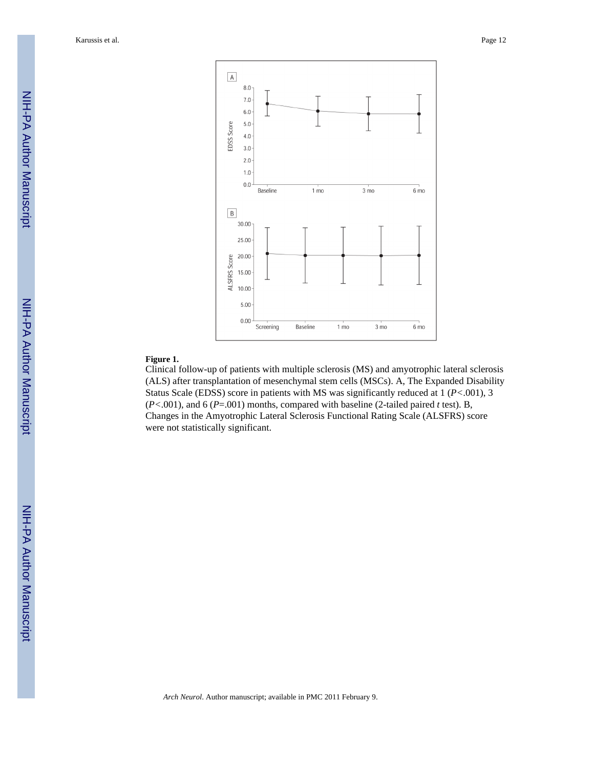Karussis et al. Page 12



# **Figure 1.**

Clinical follow-up of patients with multiple sclerosis (MS) and amyotrophic lateral sclerosis (ALS) after transplantation of mesenchymal stem cells (MSCs). A, The Expanded Disability Status Scale (EDSS) score in patients with MS was significantly reduced at 1 (*P<*.001), 3 (*P<*.001), and 6 (*P*=.001) months, compared with baseline (2-tailed paired *t* test). B, Changes in the Amyotrophic Lateral Sclerosis Functional Rating Scale (ALSFRS) score were not statistically significant.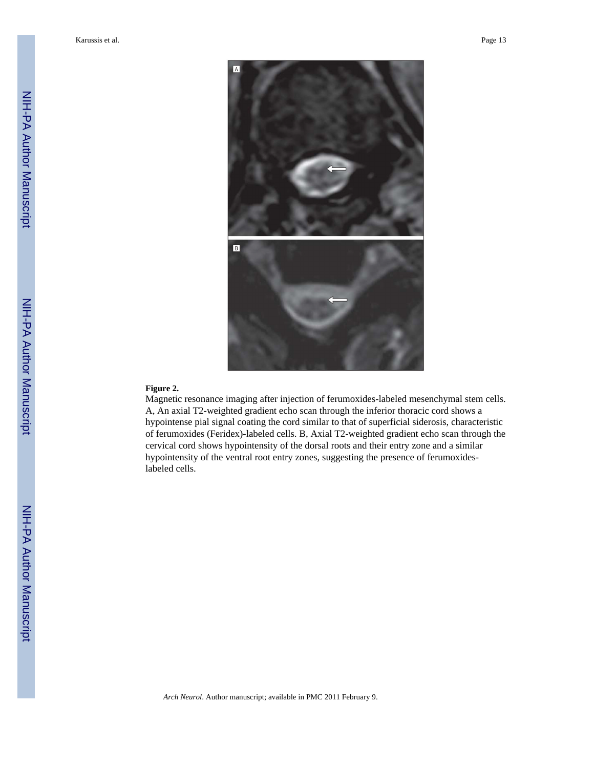

#### **Figure 2.**

Magnetic resonance imaging after injection of ferumoxides-labeled mesenchymal stem cells. A, An axial T2-weighted gradient echo scan through the inferior thoracic cord shows a hypointense pial signal coating the cord similar to that of superficial siderosis, characteristic of ferumoxides (Feridex)-labeled cells. B, Axial T2-weighted gradient echo scan through the cervical cord shows hypointensity of the dorsal roots and their entry zone and a similar hypointensity of the ventral root entry zones, suggesting the presence of ferumoxideslabeled cells.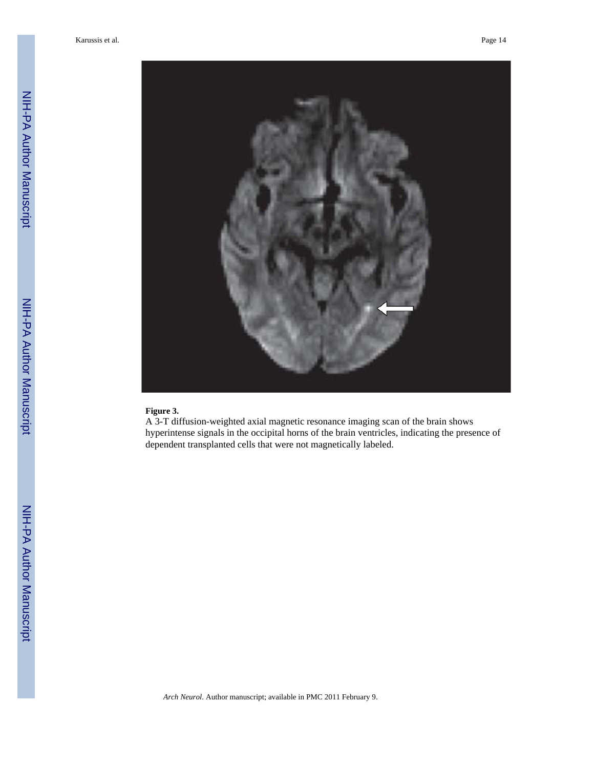

# **Figure 3.**

A 3-T diffusion-weighted axial magnetic resonance imaging scan of the brain shows hyperintense signals in the occipital horns of the brain ventricles, indicating the presence of dependent transplanted cells that were not magnetically labeled.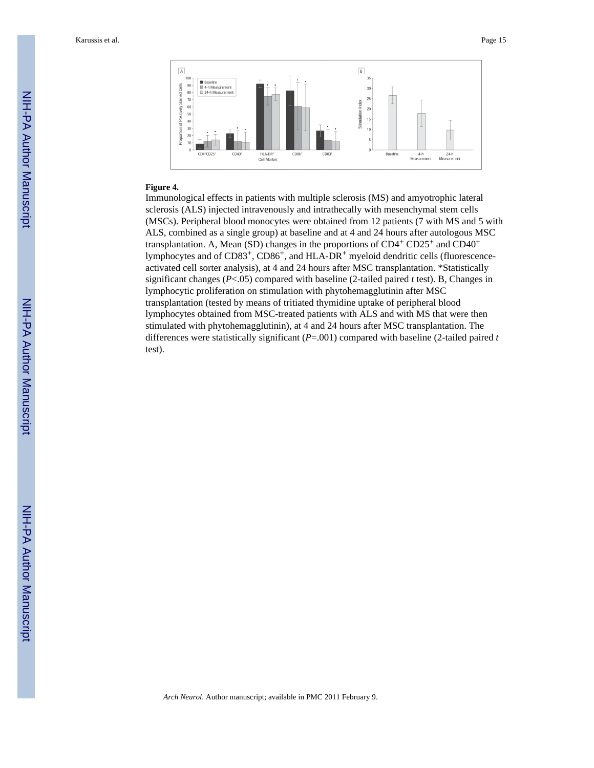Karussis et al. Page 15



#### **Figure 4.**

Immunological effects in patients with multiple sclerosis (MS) and amyotrophic lateral sclerosis (ALS) injected intravenously and intrathecally with mesenchymal stem cells (MSCs). Peripheral blood monocytes were obtained from 12 patients (7 with MS and 5 with ALS, combined as a single group) at baseline and at 4 and 24 hours after autologous MSC transplantation. A, Mean (SD) changes in the proportions of  $CD4^+$  CD25<sup>+</sup> and CD40<sup>+</sup> lymphocytes and of CD83+, CD86+, and HLA-DR+ myeloid dendritic cells (fluorescenceactivated cell sorter analysis), at 4 and 24 hours after MSC transplantation. \*Statistically significant changes (*P*<.05) compared with baseline (2-tailed paired *t* test). B, Changes in lymphocytic proliferation on stimulation with phytohemagglutinin after MSC transplantation (tested by means of tritiated thymidine uptake of peripheral blood lymphocytes obtained from MSC-treated patients with ALS and with MS that were then stimulated with phytohemagglutinin), at 4 and 24 hours after MSC transplantation. The differences were statistically significant (*P*=.001) compared with baseline (2-tailed paired *t* test).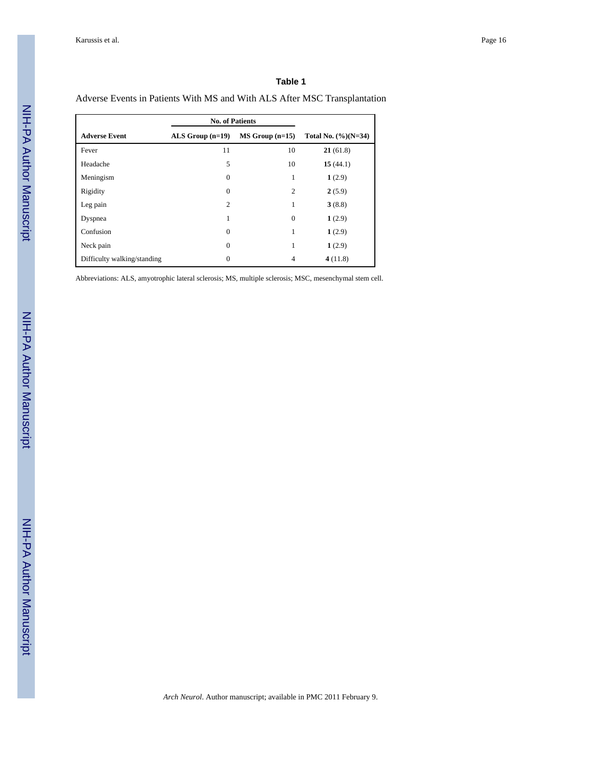## **Table 1**

Adverse Events in Patients With MS and With ALS After MSC Transplantation

|                             | <b>No. of Patients</b> |                   |                        |
|-----------------------------|------------------------|-------------------|------------------------|
| <b>Adverse Event</b>        | ALS Group $(n=19)$     | $MS Group (n=15)$ | Total No. $(\%)(N=34)$ |
| Fever                       | 11                     | 10                | 21(61.8)               |
| Headache                    | 5                      | 10                | 15(44.1)               |
| Meningism                   | $\mathbf{0}$           | 1                 | 1(2.9)                 |
| Rigidity                    | $\Omega$               | 2                 | 2(5.9)                 |
| Leg pain                    | 2                      | 1                 | 3(8.8)                 |
| Dyspnea                     | 1                      | $\mathbf{0}$      | 1(2.9)                 |
| Confusion                   | $\Omega$               | 1                 | 1(2.9)                 |
| Neck pain                   | $\Omega$               | 1                 | 1(2.9)                 |
| Difficulty walking/standing | $\Omega$               | 4                 | 4(11.8)                |

Abbreviations: ALS, amyotrophic lateral sclerosis; MS, multiple sclerosis; MSC, mesenchymal stem cell.